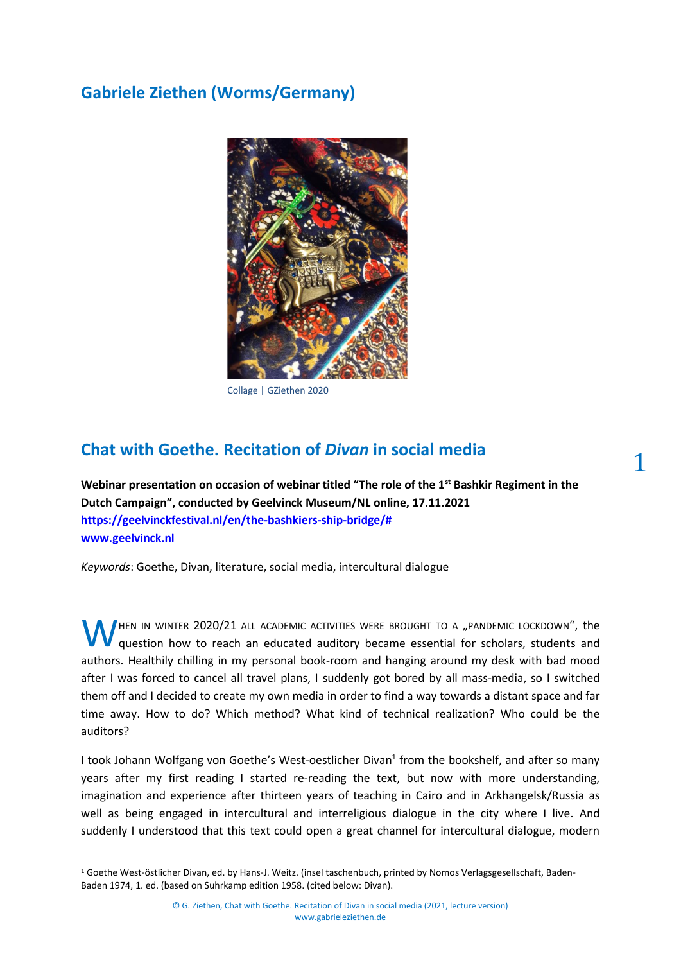# **Gabriele Ziethen (Worms/Germany)**



Collage | GZiethen 2020

## **Chat with Goethe. Recitation of** *Divan* **in social media**

**Webinar presentation on occasion of webinar titled "The role of the 1st Bashkir Regiment in the Dutch Campaign", conducted by Geelvinck Museum/NL online, 17.11.2021 [https://geelvinckfestival.nl/en/the-bashkiers-ship-bridge/#](https://geelvinckfestival.nl/en/the-bashkiers-ship-bridge/%23) <www.geelvinck.nl>**

*Keywords*: Goethe, Divan, literature, social media, intercultural dialogue

HEN IN WINTER  $2020/21$  all academic activities were brought to a "pandemic lockdown", the question how to reach an educated auditory became essential for scholars, students and authors. Healthily chilling in my personal book-room and hanging around my desk with bad mood after I was forced to cancel all travel plans, I suddenly got bored by all mass-media, so I switched them off and I decided to create my own media in order to find a way towards a distant space and far time away. How to do? Which method? What kind of technical realization? Who could be the auditors? W

I took Johann Wolfgang von Goethe's West-oestlicher Divan<sup>1</sup> from the bookshelf, and after so many years after my first reading I started re-reading the text, but now with more understanding, imagination and experience after thirteen years of teaching in Cairo and in Arkhangelsk/Russia as well as being engaged in intercultural and interreligious dialogue in the city where I live. And suddenly I understood that this text could open a great channel for intercultural dialogue, modern 1

<sup>1</sup> Goethe West-östlicher Divan, ed. by Hans-J. Weitz. (insel taschenbuch, printed by Nomos Verlagsgesellschaft, Baden-Baden 1974, 1. ed. (based on Suhrkamp edition 1958. (cited below: Divan).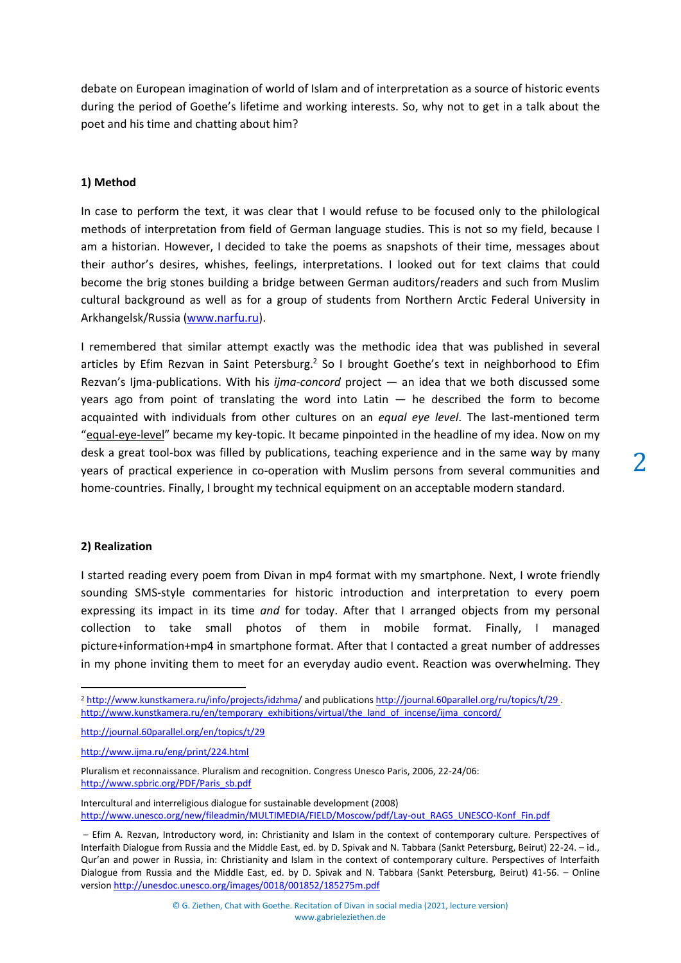2

debate on European imagination of world of Islam and of interpretation as a source of historic events during the period of Goethe's lifetime and working interests. So, why not to get in a talk about the poet and his time and chatting about him?

### **1) Method**

In case to perform the text, it was clear that I would refuse to be focused only to the philological methods of interpretation from field of German language studies. This is not so my field, because I am a historian. However, I decided to take the poems as snapshots of their time, messages about their author's desires, whishes, feelings, interpretations. I looked out for text claims that could become the brig stones building a bridge between German auditors/readers and such from Muslim cultural background as well as for a group of students from Northern Arctic Federal University in Arkhangelsk/Russia [\(www.narfu.ru\)](file:///C:/Users/Ziethen/Documents/Lesung_Ziethen_Divan/Chat%20with%20Goethe_Webinar/www.narfu.ru).

I remembered that similar attempt exactly was the methodic idea that was published in several articles by Efim Rezvan in Saint Petersburg.<sup>2</sup> So I brought Goethe's text in neighborhood to Efim Rezvan's Ijma-publications. With his *ijma-concord* project — an idea that we both discussed some years ago from point of translating the word into Latin  $-$  he described the form to become acquainted with individuals from other cultures on an *equal eye level*. The last-mentioned term "equal-eye-level" became my key-topic. It became pinpointed in the headline of my idea. Now on my desk a great tool-box was filled by publications, teaching experience and in the same way by many years of practical experience in co-operation with Muslim persons from several communities and home-countries. Finally, I brought my technical equipment on an acceptable modern standard.

#### **2) Realization**

I started reading every poem from Divan in mp4 format with my smartphone. Next, I wrote friendly sounding SMS-style commentaries for historic introduction and interpretation to every poem expressing its impact in its time *and* for today. After that I arranged objects from my personal collection to take small photos of them in mobile format. Finally, I managed picture+information+mp4 in smartphone format. After that I contacted a great number of addresses in my phone inviting them to meet for an everyday audio event. Reaction was overwhelming. They

<sup>2</sup> http://www.kunstkamera.ru/info/projects/idzhma/ and publications<http://journal.60parallel.org/ru/topics/t/29> . [http://www.kunstkamera.ru/en/temporary\\_exhibitions/virtual/the\\_land\\_of\\_incense/ijma\\_concord/](http://www.kunstkamera.ru/en/temporary_exhibitions/virtual/the_land_of_incense/ijma_concord/)

<http://journal.60parallel.org/en/topics/t/29>

<http://www.ijma.ru/eng/print/224.html>

Pluralism et reconnaissance. Pluralism and recognition. Congress Unesco Paris, 2006, 22-24/06: [http://www.spbric.org/PDF/Paris\\_sb.pdf](http://www.spbric.org/PDF/Paris_sb.pdf)

Intercultural and interreligious dialogue for sustainable development (2008) [http://www.unesco.org/new/fileadmin/MULTIMEDIA/FIELD/Moscow/pdf/Lay-out\\_RAGS\\_UNESCO-Konf\\_Fin.pdf](http://www.unesco.org/new/fileadmin/MULTIMEDIA/FIELD/Moscow/pdf/Lay-out_RAGS_UNESCO-Konf_Fin.pdf)

<sup>–</sup> Efim A. Rezvan, Introductory word, in: Christianity and Islam in the context of contemporary culture. Perspectives of Interfaith Dialogue from Russia and the Middle East, ed. by D. Spivak and N. Tabbara (Sankt Petersburg, Beirut) 22-24. – id., Qur'an and power in Russia, in: Christianity and Islam in the context of contemporary culture. Perspectives of Interfaith Dialogue from Russia and the Middle East, ed. by D. Spivak and N. Tabbara (Sankt Petersburg, Beirut) 41-56. – Online versio[n http://unesdoc.unesco.org/images/0018/001852/185275m.pdf](http://unesdoc.unesco.org/images/0018/001852/185275m.pdf)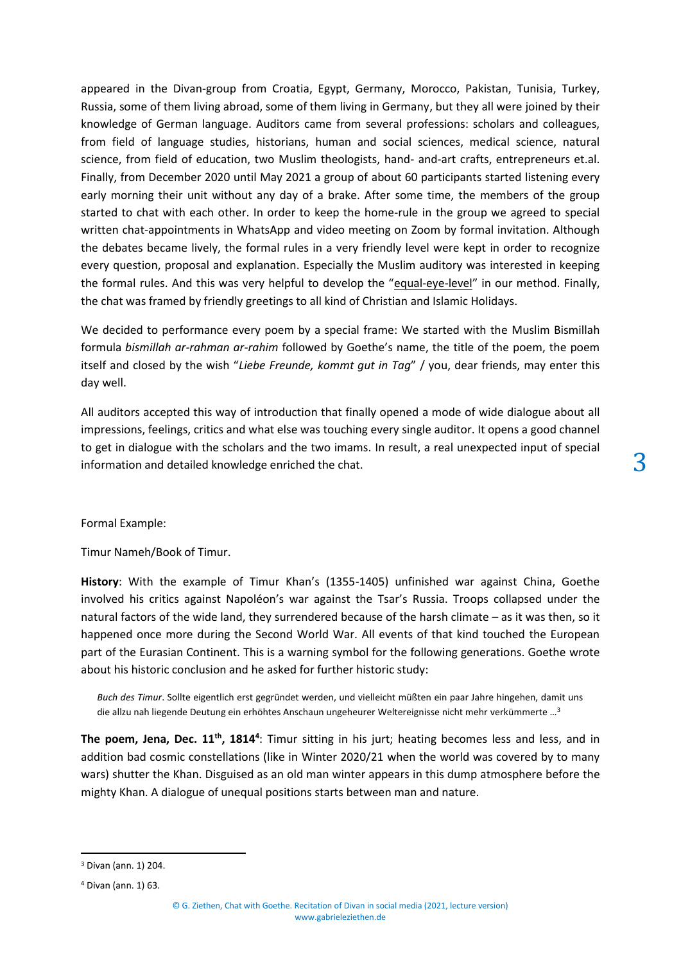appeared in the Divan-group from Croatia, Egypt, Germany, Morocco, Pakistan, Tunisia, Turkey, Russia, some of them living abroad, some of them living in Germany, but they all were joined by their knowledge of German language. Auditors came from several professions: scholars and colleagues, from field of language studies, historians, human and social sciences, medical science, natural science, from field of education, two Muslim theologists, hand- and-art crafts, entrepreneurs et.al. Finally, from December 2020 until May 2021 a group of about 60 participants started listening every early morning their unit without any day of a brake. After some time, the members of the group started to chat with each other. In order to keep the home-rule in the group we agreed to special written chat-appointments in WhatsApp and video meeting on Zoom by formal invitation. Although the debates became lively, the formal rules in a very friendly level were kept in order to recognize every question, proposal and explanation. Especially the Muslim auditory was interested in keeping the formal rules. And this was very helpful to develop the "equal-eye-level" in our method. Finally, the chat was framed by friendly greetings to all kind of Christian and Islamic Holidays.

We decided to performance every poem by a special frame: We started with the Muslim Bismillah formula *bismillah ar-rahman ar-rahim* followed by Goethe's name, the title of the poem, the poem itself and closed by the wish "*Liebe Freunde, kommt gut in Tag*" / you, dear friends, may enter this day well.

All auditors accepted this way of introduction that finally opened a mode of wide dialogue about all impressions, feelings, critics and what else was touching every single auditor. It opens a good channel to get in dialogue with the scholars and the two imams. In result, a real unexpected input of special information and detailed knowledge enriched the chat.

#### Formal Example:

Timur Nameh/Book of Timur.

**History**: With the example of Timur Khan's (1355-1405) unfinished war against China, Goethe involved his critics against Napoléon's war against the Tsar's Russia. Troops collapsed under the natural factors of the wide land, they surrendered because of the harsh climate – as it was then, so it happened once more during the Second World War. All events of that kind touched the European part of the Eurasian Continent. This is a warning symbol for the following generations. Goethe wrote about his historic conclusion and he asked for further historic study:

*Buch des Timur*. Sollte eigentlich erst gegründet werden, und vielleicht müßten ein paar Jahre hingehen, damit uns die allzu nah liegende Deutung ein erhöhtes Anschaun ungeheurer Weltereignisse nicht mehr verkümmerte …<sup>3</sup>

**The poem, Jena, Dec. 11th, 1814<sup>4</sup>** : Timur sitting in his jurt; heating becomes less and less, and in addition bad cosmic constellations (like in Winter 2020/21 when the world was covered by to many wars) shutter the Khan. Disguised as an old man winter appears in this dump atmosphere before the mighty Khan. A dialogue of unequal positions starts between man and nature.

<sup>3</sup> Divan (ann. 1) 204.

<sup>4</sup> Divan (ann. 1) 63.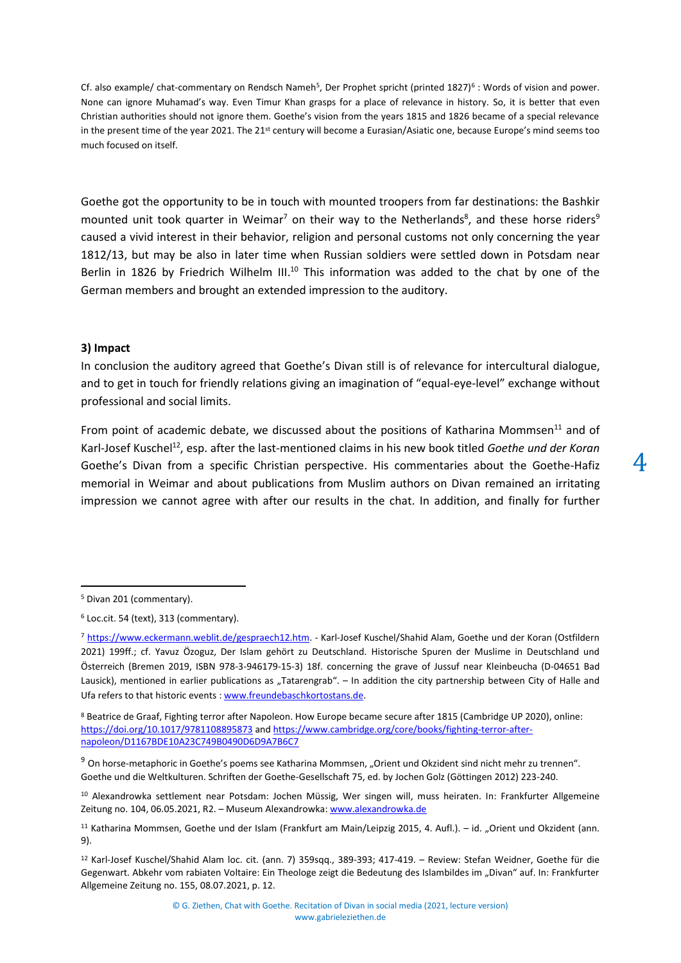Cf. also example/ chat-commentary on Rendsch Nameh<sup>5</sup>, Der Prophet spricht (printed 1827)<sup>6</sup>: Words of vision and power. None can ignore Muhamad's way. Even Timur Khan grasps for a place of relevance in history. So, it is better that even Christian authorities should not ignore them. Goethe's vision from the years 1815 and 1826 became of a special relevance in the present time of the year 2021. The 21<sup>st</sup> century will become a Eurasian/Asiatic one, because Europe's mind seems too much focused on itself.

<span id="page-3-1"></span><span id="page-3-0"></span>Goethe got the opportunity to be in touch with mounted troopers from far destinations: the Bashkir mounted unit took quarter in Weimar<sup>7</sup> on their way to the Netherlands<sup>8</sup>, and these horse riders<sup>9</sup> caused a vivid interest in their behavior, religion and personal customs not only concerning the year 1812/13, but may be also in later time when Russian soldiers were settled down in Potsdam near Berlin in 1826 by Friedrich Wilhelm III.<sup>10</sup> This information was added to the chat by one of the German members and brought an extended impression to the auditory.

#### **3) Impact**

In conclusion the auditory agreed that Goethe's Divan still is of relevance for intercultural dialogue, and to get in touch for friendly relations giving an imagination of "equal-eye-level" exchange without professional and social limits.

From point of academic debate, we discussed about the positions of Katharina Mommsen<sup>11</sup> and of Karl-Josef Kuschel<sup>12</sup>, esp. after the last-mentioned claims in his new book titled *Goethe und der Koran* Goethe's Divan from a specific Christian perspective. His commentaries about the Goethe-Hafiz memorial in Weimar and about publications from Muslim authors on Divan remained an irritating impression we cannot agree with after our results in the chat. In addition, and finally for further

<sup>5</sup> Divan 201 (commentary).

<sup>6</sup> Loc.cit. 54 (text), 313 (commentary).

<sup>7</sup> [https://www.eckermann.weblit.de/gespraech12.htm.](https://www.eckermann.weblit.de/gespraech12.htm) - Karl-Josef Kuschel/Shahid Alam, Goethe und der Koran (Ostfildern 2021) 199ff.; cf. Yavuz Özoguz, Der Islam gehört zu Deutschland. Historische Spuren der Muslime in Deutschland und Österreich (Bremen 2019, ISBN 978-3-946179-15-3) 18f. concerning the grave of Jussuf near Kleinbeucha (D-04651 Bad Lausick), mentioned in earlier publications as "Tatarengrab". – In addition the city partnership between City of Halle and Ufa refers to that historic events : [www.freundebaschkortostans.de.](www.freundebaschkortostans.de)

<sup>8</sup> Beatrice de Graaf, Fighting terror after Napoleon. How Europe became secure after 1815 (Cambridge UP 2020), online: <https://doi.org/10.1017/9781108895873> and [https://www.cambridge.org/core/books/fighting-terror-after](https://www.cambridge.org/core/books/fighting-terror-after-napoleon/D1167BDE10A23C749B0490D6D9A7B6C7)[napoleon/D1167BDE10A23C749B0490D6D9A7B6C7](https://www.cambridge.org/core/books/fighting-terror-after-napoleon/D1167BDE10A23C749B0490D6D9A7B6C7)

 $9$  On horse-metaphoric in Goethe's poems see Katharina Mommsen, "Orient und Okzident sind nicht mehr zu trennen". Goethe und die Weltkulturen. Schriften der Goethe-Gesellschaft 75, ed. by Jochen Golz (Göttingen 2012) 223-240.

<sup>10</sup> Alexandrowka settlement near Potsdam: Jochen Müssig, Wer singen will, muss heiraten. In: Frankfurter Allgemeine Zeitung no. 104, 06.05.2021, R2. – Museum Alexandrowka[: www.alexandrowka.de](www.alexandrowka.de)

<sup>11</sup> Katharina Mommsen, Goethe und der Islam (Frankfurt am Main/Leipzig 2015, 4. Aufl.). – id. "Orient und Okzident (ann. [9\)](#page-3-0).

<sup>12</sup> Karl-Josef Kuschel/Shahid Alam loc. cit. (ann. [7\)](#page-3-1) 359sqq., 389-393; 417-419. – Review: Stefan Weidner, Goethe für die Gegenwart. Abkehr vom rabiaten Voltaire: Ein Theologe zeigt die Bedeutung des Islambildes im "Divan" auf. In: Frankfurter Allgemeine Zeitung no. 155, 08.07.2021, p. 12.